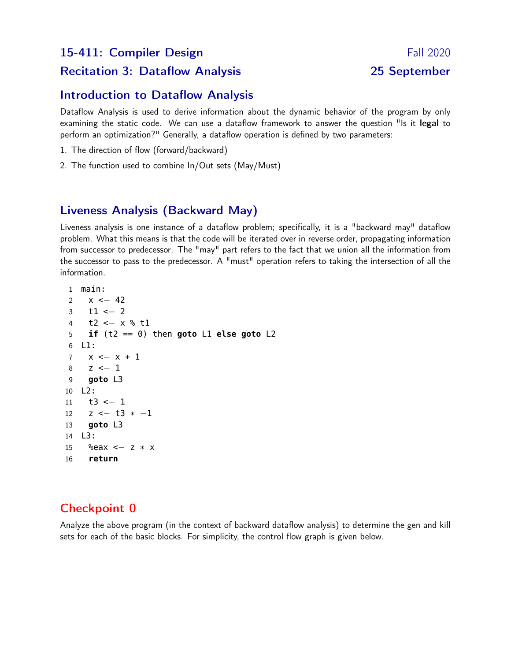# Recitation 3: Dataflow Analysis 25 September

## Introduction to Dataflow Analysis

Dataflow Analysis is used to derive information about the dynamic behavior of the program by only examining the static code. We can use a dataflow framework to answer the question "Is it legal to perform an optimization?" Generally, a dataflow operation is defined by two parameters:

- 1. The direction of flow (forward/backward)
- 2. The function used to combine In/Out sets (May/Must)

# Liveness Analysis (Backward May)

Liveness analysis is one instance of a dataflow problem; specifically, it is a "backward may" dataflow problem. What this means is that the code will be iterated over in reverse order, propagating information from successor to predecessor. The "may" part refers to the fact that we union all the information from the successor to pass to the predecessor. A "must" operation refers to taking the intersection of all the information.

```
1 main:
2 x \le -423 t1 <- 2
4 t2 <− x % t1
5 if (t2 == 0) then goto L1 else goto L2
6 L1:
7 x <− x + 1
8 z <− 1
9 goto L3
10 L2:
11 t3 <− 1
12 z \le -13 \times -113 goto L3
14 L3:
15 %eax <− z * x
16 return
```
# Checkpoint 0

Analyze the above program (in the context of backward dataflow analysis) to determine the gen and kill sets for each of the basic blocks. For simplicity, the control flow graph is given below.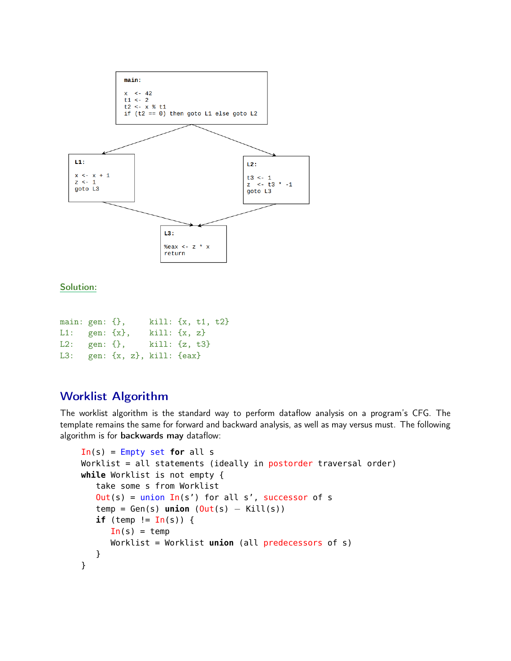

#### Solution:

| main: $gen: {}$ },             |                                             | $kill: \{x, t1, t2\}$ |  |  |
|--------------------------------|---------------------------------------------|-----------------------|--|--|
| $L1: \text{gen}: \{ \{x \},\}$ |                                             | $kill: \{x, z\}$      |  |  |
|                                | L2: gen: $\{\}$ , kill: $\{z, t3\}$         |                       |  |  |
|                                | L3: $gen: \{\}x, z\}, \text{kill}: \{eax\}$ |                       |  |  |

# Worklist Algorithm

The worklist algorithm is the standard way to perform dataflow analysis on a program's CFG. The template remains the same for forward and backward analysis, as well as may versus must. The following algorithm is for backwards may dataflow:

```
In(s) = Empty set for all s
Worklist = all statements (ideally in postorder traversal order)
while Worklist is not empty {
   take some s from Worklist
   Out(s) = union In(s') for all s', successor of s
   temp = Gen(s) union (Out(s) - Kill(s))if (temp != In(s)) {
      In(s) = tempWorklist = Worklist union (all predecessors of s)
  }
}
```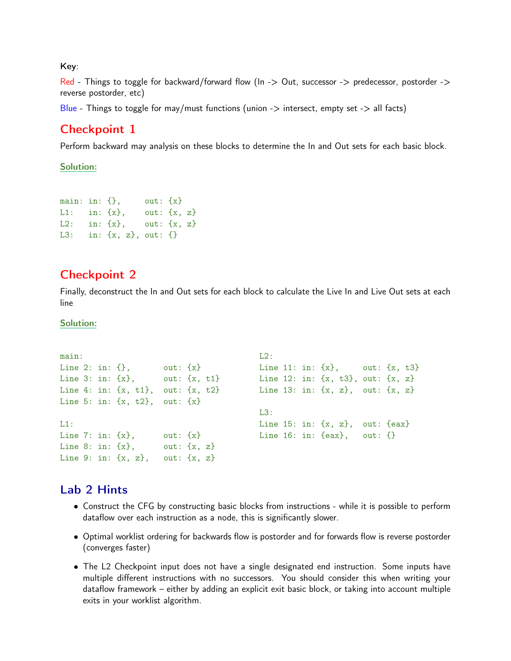Key:

Red - Things to toggle for backward/forward flow ( $\ln >$  Out, successor -> predecessor, postorder -> reverse postorder, etc)

Blue - Things to toggle for may/must functions (union  $\rightarrow$  intersect, empty set  $\rightarrow$  all facts)

## Checkpoint 1

Perform backward may analysis on these blocks to determine the In and Out sets for each basic block.

#### Solution:

main: in:  $\{\}$ , out:  $\{x\}$ L1: in:  $\{x\}$ , out:  $\{x, z\}$ L2: in:  $\{x\}$ , out:  $\{x, z\}$ L3: in:  $\{x, z\}$ , out:  $\{\}\$ 

### Checkpoint 2

Finally, deconstruct the In and Out sets for each block to calculate the Live In and Live Out sets at each line

#### Solution:

```
main:
Line 2: in: \{\}, out: \{x\}Line 3: in: \{x\}, out: \{x, t1\}Line 4: in: \{x, t1\}, out: \{x, t2\}Line 5: in: \{x, t2\}, out: \{x\}L1:
Line 7: in: \{x\}, out: \{x\}Line 8: in: \{x\}, out: \{x, z\}Line 9: in: \{x, z\}, out: \{x, z\}L2:Line 11: in: {x}, out: {x}, t3}
                                          Line 12: in: {x, t3}, out: {x, z}
                                          Line 13: in: \{x, z\}, out: \{x, z\}L3:
                                          Line 15: in: {x, z}, out: {eax}
                                          Line 16: in: {eax}, out: {}
```
### Lab 2 Hints

- Construct the CFG by constructing basic blocks from instructions while it is possible to perform dataflow over each instruction as a node, this is significantly slower.
- Optimal worklist ordering for backwards flow is postorder and for forwards flow is reverse postorder (converges faster)
- The L2 Checkpoint input does not have a single designated end instruction. Some inputs have multiple different instructions with no successors. You should consider this when writing your dataflow framework – either by adding an explicit exit basic block, or taking into account multiple exits in your worklist algorithm.